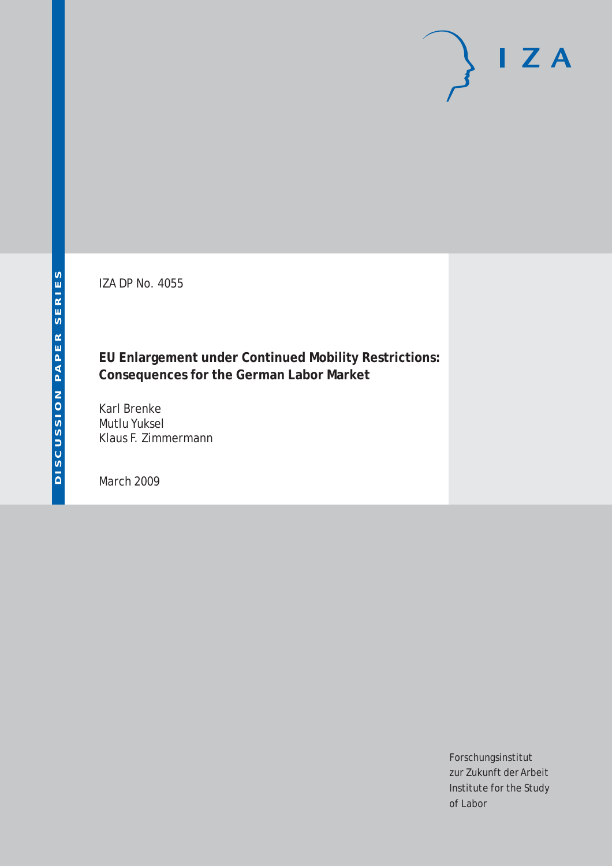IZA DP No. 4055

**EU Enlargement under Continued Mobility Restrictions: Consequences for the German Labor Market**

Karl Brenke Mutlu Yuksel Klaus F. Zimmermann

March 2009

Forschungsinstitut zur Zukunft der Arbeit Institute for the Study of Labor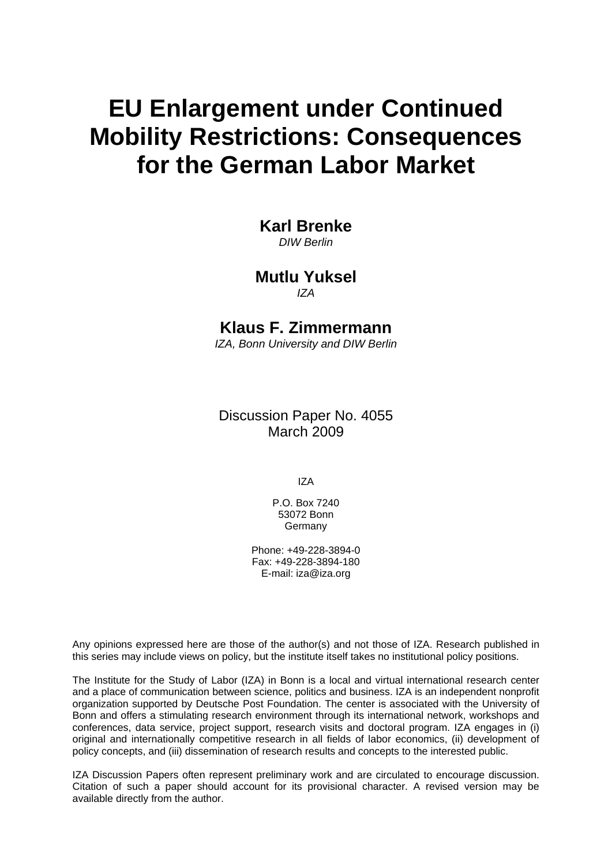# **EU Enlargement under Continued Mobility Restrictions: Consequences for the German Labor Market**

# **Karl Brenke**

*DIW Berlin* 

# **Mutlu Yuksel**  *IZA*

# **Klaus F. Zimmermann**

*IZA, Bonn University and DIW Berlin* 

Discussion Paper No. 4055 March 2009

IZA

P.O. Box 7240 53072 Bonn Germany

Phone: +49-228-3894-0 Fax: +49-228-3894-180 E-mail: [iza@iza.org](mailto:iza@iza.org) 

Any opinions expressed here are those of the author(s) and not those of IZA. Research published in this series may include views on policy, but the institute itself takes no institutional policy positions.

The Institute for the Study of Labor (IZA) in Bonn is a local and virtual international research center and a place of communication between science, politics and business. IZA is an independent nonprofit organization supported by Deutsche Post Foundation. The center is associated with the University of Bonn and offers a stimulating research environment through its international network, workshops and conferences, data service, project support, research visits and doctoral program. IZA engages in (i) original and internationally competitive research in all fields of labor economics, (ii) development of policy concepts, and (iii) dissemination of research results and concepts to the interested public.

IZA Discussion Papers often represent preliminary work and are circulated to encourage discussion. Citation of such a paper should account for its provisional character. A revised version may be available directly from the author.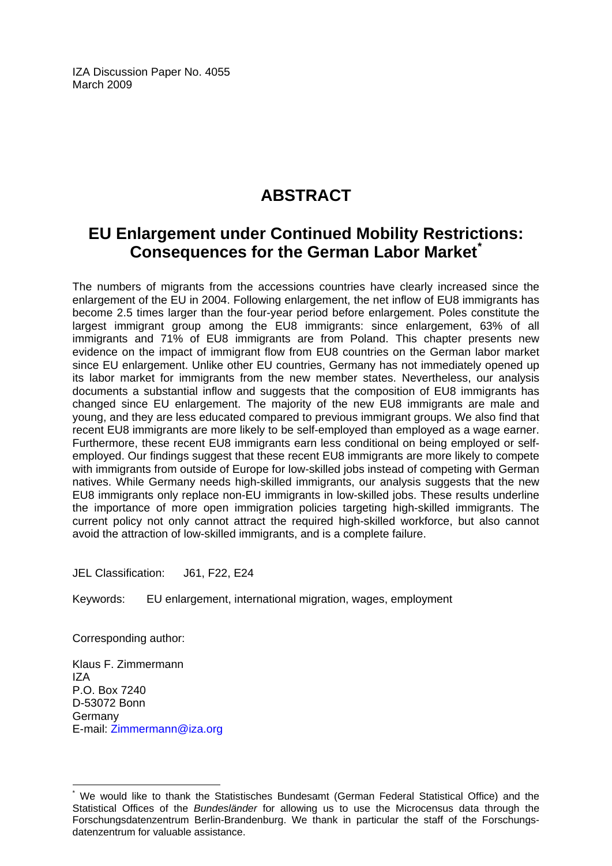IZA Discussion Paper No. 4055 March 2009

# **ABSTRACT**

# **EU Enlargement under Continued Mobility Restric[ti](#page-2-0)ons: Consequences for the German Labor Market[\\*](#page-2-0)**

The numbers of migrants from the accessions countries have clearly increased since the enlargement of the EU in 2004. Following enlargement, the net inflow of EU8 immigrants has become 2.5 times larger than the four-year period before enlargement. Poles constitute the largest immigrant group among the EU8 immigrants: since enlargement, 63% of all immigrants and 71% of EU8 immigrants are from Poland. This chapter presents new evidence on the impact of immigrant flow from EU8 countries on the German labor market since EU enlargement. Unlike other EU countries, Germany has not immediately opened up its labor market for immigrants from the new member states. Nevertheless, our analysis documents a substantial inflow and suggests that the composition of EU8 immigrants has changed since EU enlargement. The majority of the new EU8 immigrants are male and young, and they are less educated compared to previous immigrant groups. We also find that recent EU8 immigrants are more likely to be self-employed than employed as a wage earner. Furthermore, these recent EU8 immigrants earn less conditional on being employed or selfemployed. Our findings suggest that these recent EU8 immigrants are more likely to compete with immigrants from outside of Europe for low-skilled jobs instead of competing with German natives. While Germany needs high-skilled immigrants, our analysis suggests that the new EU8 immigrants only replace non-EU immigrants in low-skilled jobs. These results underline the importance of more open immigration policies targeting high-skilled immigrants. The current policy not only cannot attract the required high-skilled workforce, but also cannot avoid the attraction of low-skilled immigrants, and is a complete failure.

JEL Classification: J61, F22, E24

Keywords: EU enlargement, international migration, wages, employment

Corresponding author:

 $\overline{a}$ 

Klaus F. Zimmermann IZA P.O. Box 7240 D-53072 Bonn **Germany** E-mail: [Zimmermann@iza.org](mailto:Zimmermann@iza.org) 

<span id="page-2-0"></span><sup>\*</sup> We would like to thank the Statistisches Bundesamt (German Federal Statistical Office) and the Statistical Offices of the *Bundesländer* for allowing us to use the Microcensus data through the Forschungsdatenzentrum Berlin-Brandenburg. We thank in particular the staff of the Forschungsdatenzentrum for valuable assistance.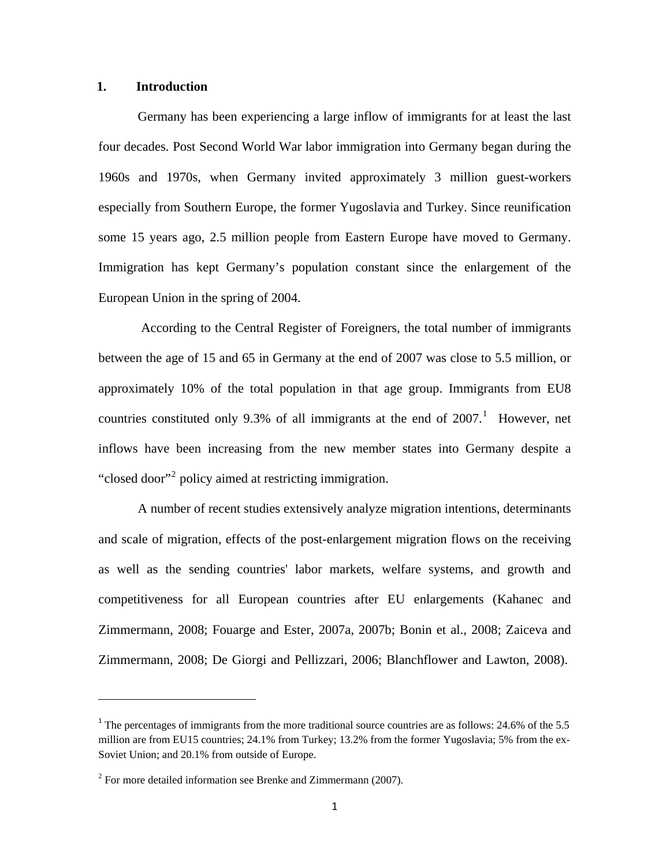# **1. Introduction**

Germany has been experiencing a large inflow of immigrants for at least the last four decades. Post Second World War labor immigration into Germany began during the 1960s and 1970s, when Germany invited approximately 3 million guest-workers especially from Southern Europe, the former Yugoslavia and Turkey. Since reunification some 15 years ago, 2.5 million people from Eastern Europe have moved to Germany. Immigration has kept Germany's population constant since the enlargement of the European Union in the spring of 2004.

 According to the Central Register of Foreigners, the total number of immigrants between the age of 15 and 65 in Germany at the end of 2007 was close to 5.5 million, or approximately 10% of the total population in that age group. Immigrants from EU8 countries constituted only 9.3% of all immigrants at the end of  $2007$ .<sup>1</sup> However, net inflows have been increasing from the new member states into Germany despite a "closed door"<sup>2</sup> policy aimed at restricting immigration.

A number of recent studies extensively analyze migration intentions, determinants and scale of migration, effects of the post-enlargement migration flows on the receiving as well as the sending countries' labor markets, welfare systems, and growth and competitiveness for all European countries after EU enlargements (Kahanec and Zimmermann, 2008; Fouarge and Ester, 2007a, 2007b; Bonin et al., 2008; Zaiceva and Zimmermann, 2008; De Giorgi and Pellizzari, 2006; Blanchflower and Lawton, 2008).

 $1$ <sup>1</sup> The percentages of immigrants from the more traditional source countries are as follows: 24.6% of the 5.5 million are from EU15 countries; 24.1% from Turkey; 13.2% from the former Yugoslavia; 5% from the ex-Soviet Union; and 20.1% from outside of Europe.

 $2^2$  For more detailed information see Brenke and Zimmermann (2007).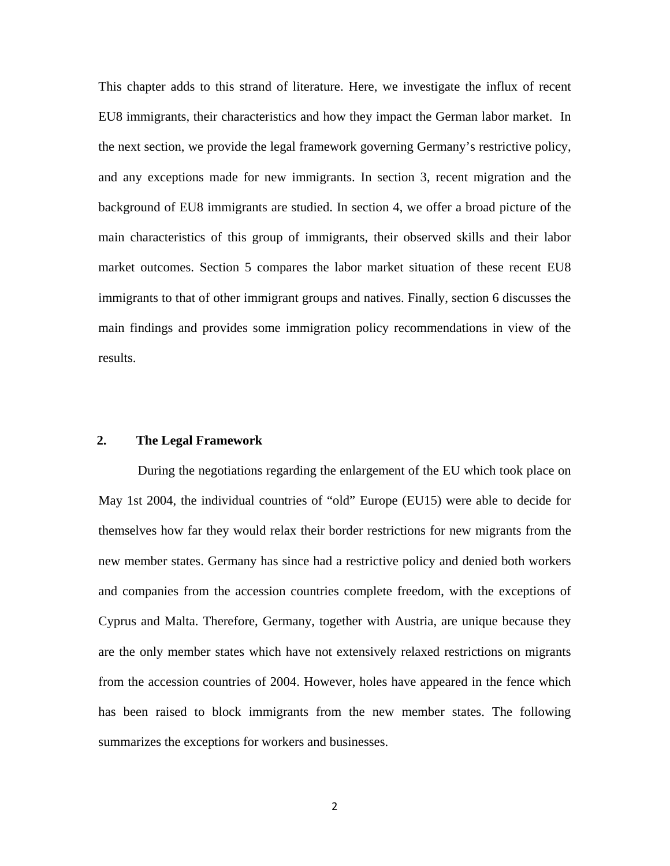This chapter adds to this strand of literature. Here, we investigate the influx of recent EU8 immigrants, their characteristics and how they impact the German labor market. In the next section, we provide the legal framework governing Germany's restrictive policy, and any exceptions made for new immigrants. In section 3, recent migration and the background of EU8 immigrants are studied. In section 4, we offer a broad picture of the main characteristics of this group of immigrants, their observed skills and their labor market outcomes. Section 5 compares the labor market situation of these recent EU8 immigrants to that of other immigrant groups and natives. Finally, section 6 discusses the main findings and provides some immigration policy recommendations in view of the results.

# **2. The Legal Framework**

During the negotiations regarding the enlargement of the EU which took place on May 1st 2004, the individual countries of "old" Europe (EU15) were able to decide for themselves how far they would relax their border restrictions for new migrants from the new member states. Germany has since had a restrictive policy and denied both workers and companies from the accession countries complete freedom, with the exceptions of Cyprus and Malta. Therefore, Germany, together with Austria, are unique because they are the only member states which have not extensively relaxed restrictions on migrants from the accession countries of 2004. However, holes have appeared in the fence which has been raised to block immigrants from the new member states. The following summarizes the exceptions for workers and businesses.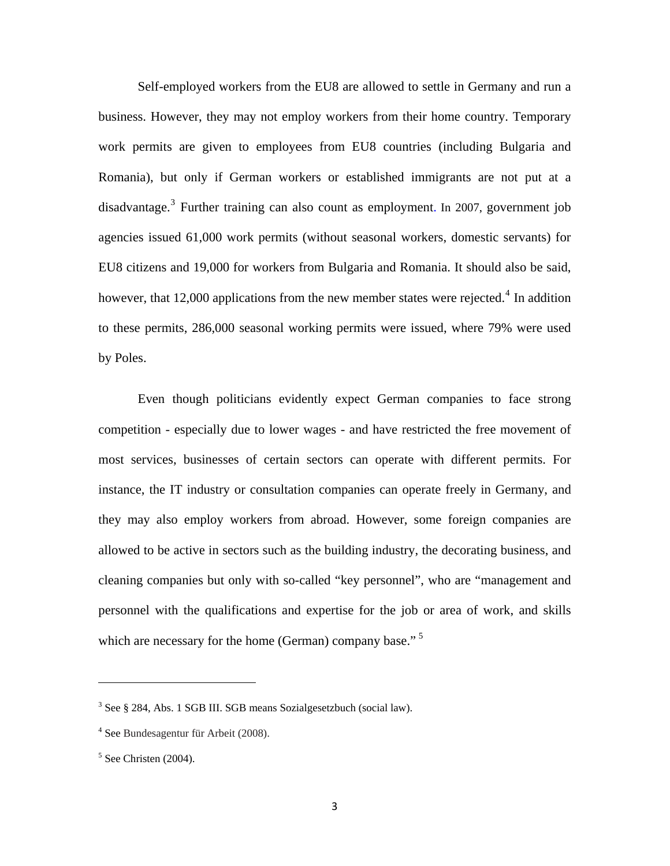Self-employed workers from the EU8 are allowed to settle in Germany and run a business. However, they may not employ workers from their home country. Temporary work permits are given to employees from EU8 countries (including Bulgaria and Romania), but only if German workers or established immigrants are not put at a disadvantage.<sup>3</sup> Further training can also count as employment. In 2007, government job agencies issued 61,000 work permits (without seasonal workers, domestic servants) for EU8 citizens and 19,000 for workers from Bulgaria and Romania. It should also be said, however, that 12,000 applications from the new member states were rejected.<sup>4</sup> In addition to these permits, 286,000 seasonal working permits were issued, where 79% were used by Poles.

Even though politicians evidently expect German companies to face strong competition - especially due to lower wages - and have restricted the free movement of most services, businesses of certain sectors can operate with different permits. For instance, the IT industry or consultation companies can operate freely in Germany, and they may also employ workers from abroad. However, some foreign companies are allowed to be active in sectors such as the building industry, the decorating business, and cleaning companies but only with so-called "key personnel", who are "management and personnel with the qualifications and expertise for the job or area of work, and skills which are necessary for the home (German) company base."<sup>5</sup>

<sup>&</sup>lt;sup>3</sup> See § 284, Abs. 1 SGB III. SGB means Sozialgesetzbuch (social law).

<sup>4</sup> See Bundesagentur für Arbeit (2008).

 $<sup>5</sup>$  See Christen (2004).</sup>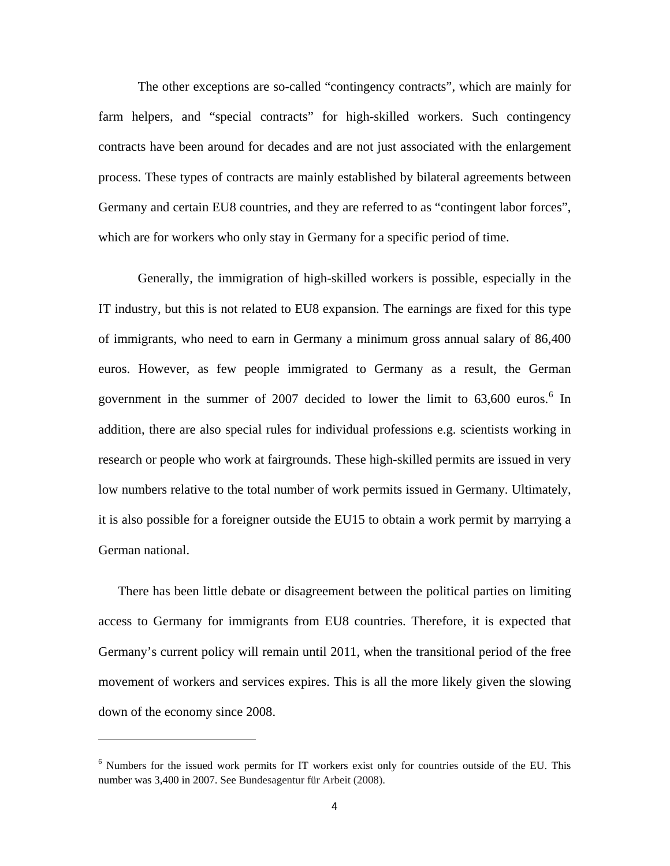The other exceptions are so-called "contingency contracts", which are mainly for farm helpers, and "special contracts" for high-skilled workers. Such contingency contracts have been around for decades and are not just associated with the enlargement process. These types of contracts are mainly established by bilateral agreements between Germany and certain EU8 countries, and they are referred to as "contingent labor forces", which are for workers who only stay in Germany for a specific period of time.

Generally, the immigration of high-skilled workers is possible, especially in the IT industry, but this is not related to EU8 expansion. The earnings are fixed for this type of immigrants, who need to earn in Germany a minimum gross annual salary of 86,400 euros. However, as few people immigrated to Germany as a result, the German government in the summer of 2007 decided to lower the limit to  $63,600$  euros.<sup>6</sup> In addition, there are also special rules for individual professions e.g. scientists working in research or people who work at fairgrounds. These high-skilled permits are issued in very low numbers relative to the total number of work permits issued in Germany. Ultimately, it is also possible for a foreigner outside the EU15 to obtain a work permit by marrying a German national.

There has been little debate or disagreement between the political parties on limiting access to Germany for immigrants from EU8 countries. Therefore, it is expected that Germany's current policy will remain until 2011, when the transitional period of the free movement of workers and services expires. This is all the more likely given the slowing down of the economy since 2008.

<sup>&</sup>lt;sup>6</sup> Numbers for the issued work permits for IT workers exist only for countries outside of the EU. This number was 3,400 in 2007. See Bundesagentur für Arbeit (2008).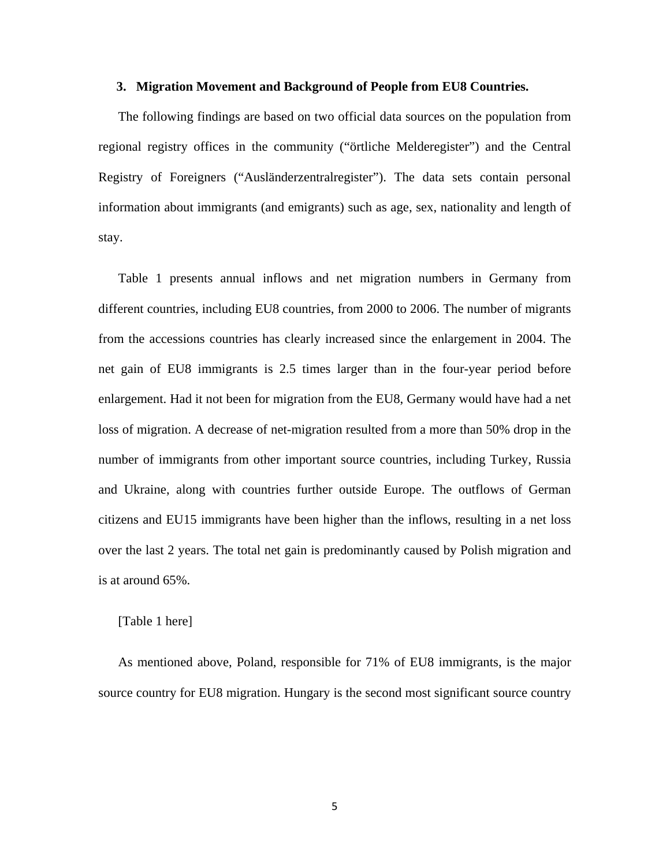#### **3. Migration Movement and Background of People from EU8 Countries.**

The following findings are based on two official data sources on the population from regional registry offices in the community ("örtliche Melderegister") and the Central Registry of Foreigners ("Ausländerzentralregister"). The data sets contain personal information about immigrants (and emigrants) such as age, sex, nationality and length of stay.

Table 1 presents annual inflows and net migration numbers in Germany from different countries, including EU8 countries, from 2000 to 2006. The number of migrants from the accessions countries has clearly increased since the enlargement in 2004. The net gain of EU8 immigrants is 2.5 times larger than in the four-year period before enlargement. Had it not been for migration from the EU8, Germany would have had a net loss of migration. A decrease of net-migration resulted from a more than 50% drop in the number of immigrants from other important source countries, including Turkey, Russia and Ukraine, along with countries further outside Europe. The outflows of German citizens and EU15 immigrants have been higher than the inflows, resulting in a net loss over the last 2 years. The total net gain is predominantly caused by Polish migration and is at around 65%.

# [Table 1 here]

As mentioned above, Poland, responsible for 71% of EU8 immigrants, is the major source country for EU8 migration. Hungary is the second most significant source country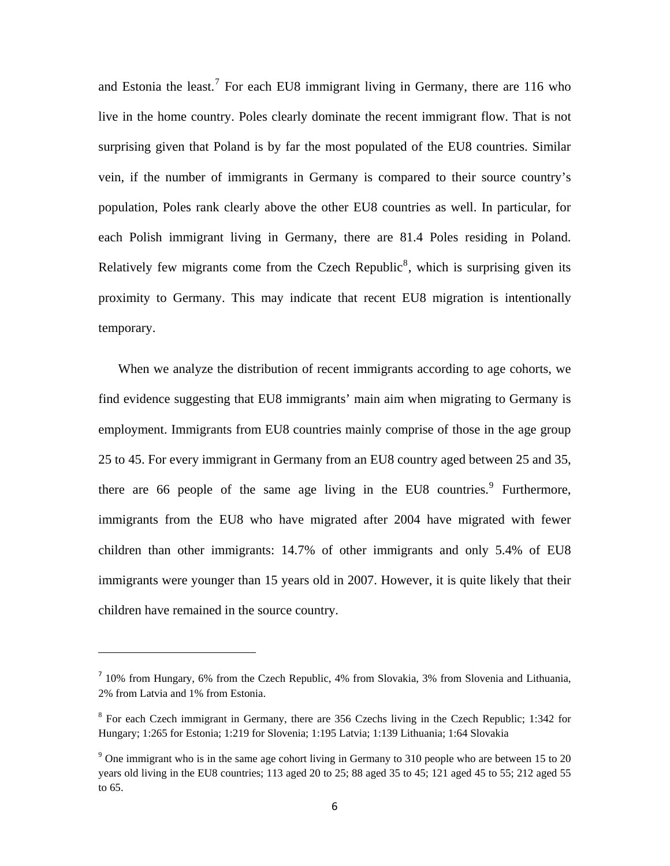and Estonia the least.<sup>7</sup> For each EU8 immigrant living in Germany, there are 116 who live in the home country. Poles clearly dominate the recent immigrant flow. That is not surprising given that Poland is by far the most populated of the EU8 countries. Similar vein, if the number of immigrants in Germany is compared to their source country's population, Poles rank clearly above the other EU8 countries as well. In particular, for each Polish immigrant living in Germany, there are 81.4 Poles residing in Poland. Relatively few migrants come from the Czech Republic<sup>8</sup>, which is surprising given its proximity to Germany. This may indicate that recent EU8 migration is intentionally temporary.

When we analyze the distribution of recent immigrants according to age cohorts, we find evidence suggesting that EU8 immigrants' main aim when migrating to Germany is employment. Immigrants from EU8 countries mainly comprise of those in the age group 25 to 45. For every immigrant in Germany from an EU8 country aged between 25 and 35, there are 66 people of the same age living in the EU8 countries.<sup>9</sup> Furthermore, immigrants from the EU8 who have migrated after 2004 have migrated with fewer children than other immigrants: 14.7% of other immigrants and only 5.4% of EU8 immigrants were younger than 15 years old in 2007. However, it is quite likely that their children have remained in the source country.

<sup>&</sup>lt;sup>7</sup> 10% from Hungary, 6% from the Czech Republic, 4% from Slovakia, 3% from Slovenia and Lithuania, 2% from Latvia and 1% from Estonia.

<sup>&</sup>lt;sup>8</sup> For each Czech immigrant in Germany, there are 356 Czechs living in the Czech Republic; 1:342 for Hungary; 1:265 for Estonia; 1:219 for Slovenia; 1:195 Latvia; 1:139 Lithuania; 1:64 Slovakia

 $9^9$  One immigrant who is in the same age cohort living in Germany to 310 people who are between 15 to 20 years old living in the EU8 countries; 113 aged 20 to 25; 88 aged 35 to 45; 121 aged 45 to 55; 212 aged 55 to 65.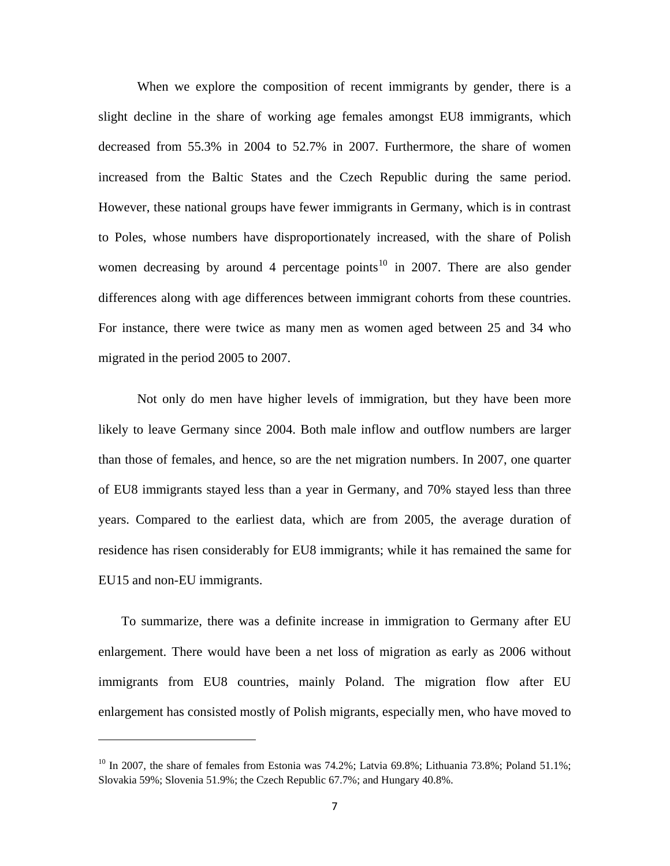When we explore the composition of recent immigrants by gender, there is a slight decline in the share of working age females amongst EU8 immigrants, which decreased from 55.3% in 2004 to 52.7% in 2007. Furthermore, the share of women increased from the Baltic States and the Czech Republic during the same period. However, these national groups have fewer immigrants in Germany, which is in contrast to Poles, whose numbers have disproportionately increased, with the share of Polish women decreasing by around 4 percentage points<sup>10</sup> in 2007. There are also gender differences along with age differences between immigrant cohorts from these countries. For instance, there were twice as many men as women aged between 25 and 34 who migrated in the period 2005 to 2007.

Not only do men have higher levels of immigration, but they have been more likely to leave Germany since 2004. Both male inflow and outflow numbers are larger than those of females, and hence, so are the net migration numbers. In 2007, one quarter of EU8 immigrants stayed less than a year in Germany, and 70% stayed less than three years. Compared to the earliest data, which are from 2005, the average duration of residence has risen considerably for EU8 immigrants; while it has remained the same for EU15 and non-EU immigrants.

 To summarize, there was a definite increase in immigration to Germany after EU enlargement. There would have been a net loss of migration as early as 2006 without immigrants from EU8 countries, mainly Poland. The migration flow after EU enlargement has consisted mostly of Polish migrants, especially men, who have moved to

<sup>&</sup>lt;sup>10</sup> In 2007, the share of females from Estonia was 74.2%; Latvia 69.8%; Lithuania 73.8%; Poland 51.1%; Slovakia 59%; Slovenia 51.9%; the Czech Republic 67.7%; and Hungary 40.8%.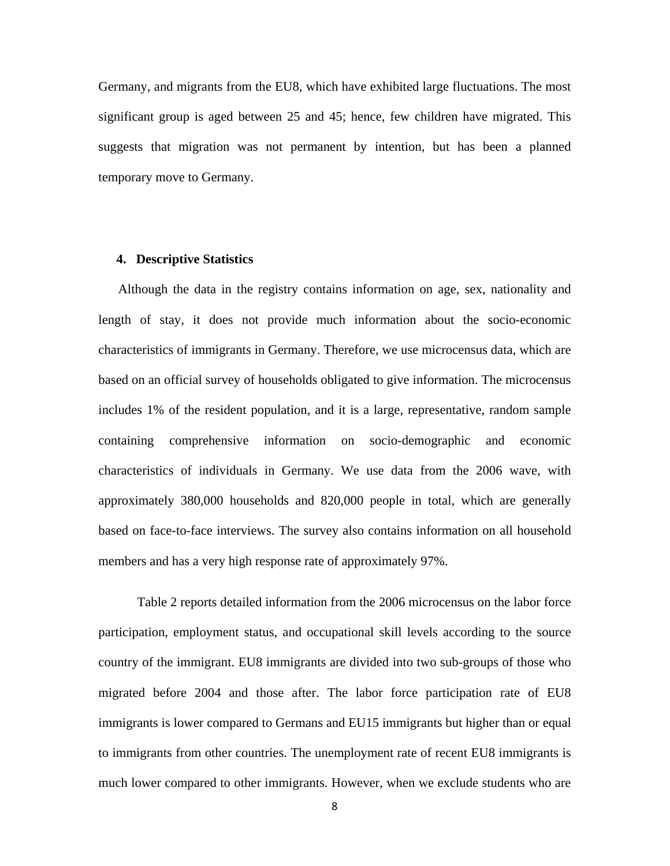Germany, and migrants from the EU8, which have exhibited large fluctuations. The most significant group is aged between 25 and 45; hence, few children have migrated. This suggests that migration was not permanent by intention, but has been a planned temporary move to Germany.

#### **4. Descriptive Statistics**

Although the data in the registry contains information on age, sex, nationality and length of stay, it does not provide much information about the socio-economic characteristics of immigrants in Germany. Therefore, we use microcensus data, which are based on an official survey of households obligated to give information. The microcensus includes 1% of the resident population, and it is a large, representative, random sample containing comprehensive information on socio-demographic and economic characteristics of individuals in Germany. We use data from the 2006 wave, with approximately 380,000 households and 820,000 people in total, which are generally based on face-to-face interviews. The survey also contains information on all household members and has a very high response rate of approximately 97%.

Table 2 reports detailed information from the 2006 microcensus on the labor force participation, employment status, and occupational skill levels according to the source country of the immigrant. EU8 immigrants are divided into two sub-groups of those who migrated before 2004 and those after. The labor force participation rate of EU8 immigrants is lower compared to Germans and EU15 immigrants but higher than or equal to immigrants from other countries. The unemployment rate of recent EU8 immigrants is much lower compared to other immigrants. However, when we exclude students who are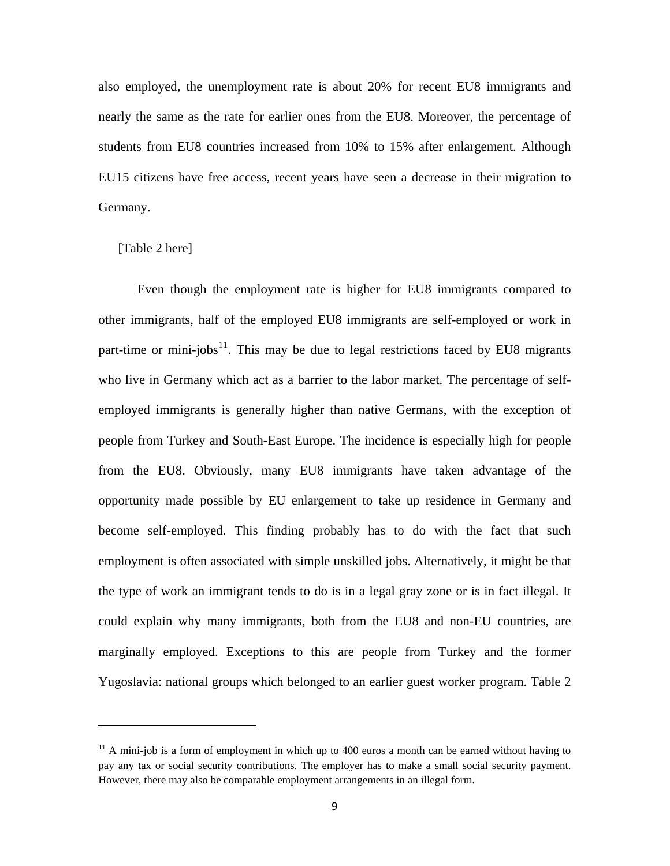also employed, the unemployment rate is about 20% for recent EU8 immigrants and nearly the same as the rate for earlier ones from the EU8. Moreover, the percentage of students from EU8 countries increased from 10% to 15% after enlargement. Although EU15 citizens have free access, recent years have seen a decrease in their migration to Germany.

# [Table 2 here]

Even though the employment rate is higher for EU8 immigrants compared to other immigrants, half of the employed EU8 immigrants are self-employed or work in part-time or mini-jobs<sup>11</sup>. This may be due to legal restrictions faced by EU8 migrants who live in Germany which act as a barrier to the labor market. The percentage of selfemployed immigrants is generally higher than native Germans, with the exception of people from Turkey and South-East Europe. The incidence is especially high for people from the EU8. Obviously, many EU8 immigrants have taken advantage of the opportunity made possible by EU enlargement to take up residence in Germany and become self-employed. This finding probably has to do with the fact that such employment is often associated with simple unskilled jobs. Alternatively, it might be that the type of work an immigrant tends to do is in a legal gray zone or is in fact illegal. It could explain why many immigrants, both from the EU8 and non-EU countries, are marginally employed. Exceptions to this are people from Turkey and the former Yugoslavia: national groups which belonged to an earlier guest worker program. Table 2

 $11$  A mini-job is a form of employment in which up to 400 euros a month can be earned without having to pay any tax or social security contributions. The employer has to make a small social security payment. However, there may also be comparable employment arrangements in an illegal form.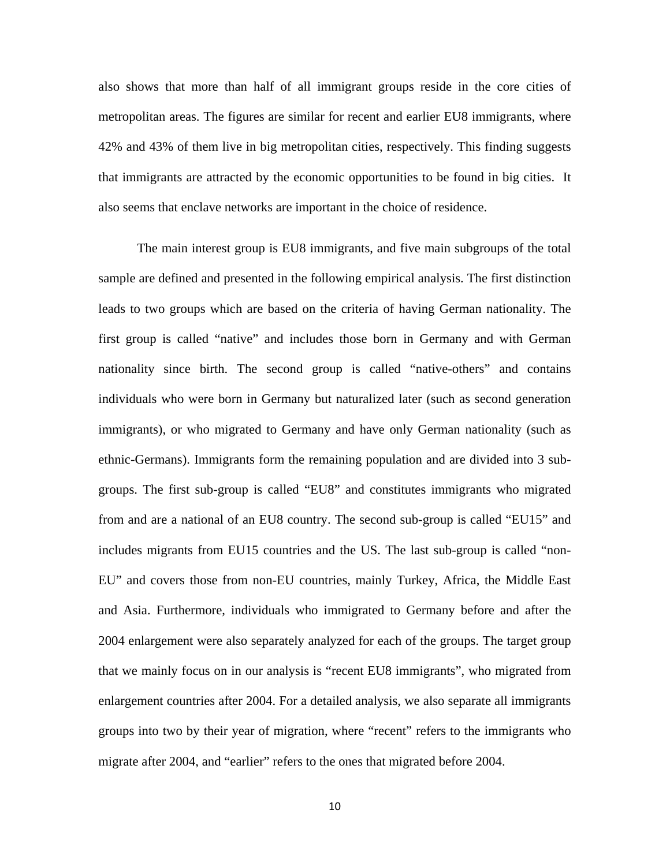also shows that more than half of all immigrant groups reside in the core cities of metropolitan areas. The figures are similar for recent and earlier EU8 immigrants, where 42% and 43% of them live in big metropolitan cities, respectively. This finding suggests that immigrants are attracted by the economic opportunities to be found in big cities. It also seems that enclave networks are important in the choice of residence.

The main interest group is EU8 immigrants, and five main subgroups of the total sample are defined and presented in the following empirical analysis. The first distinction leads to two groups which are based on the criteria of having German nationality. The first group is called "native" and includes those born in Germany and with German nationality since birth. The second group is called "native-others" and contains individuals who were born in Germany but naturalized later (such as second generation immigrants), or who migrated to Germany and have only German nationality (such as ethnic-Germans). Immigrants form the remaining population and are divided into 3 subgroups. The first sub-group is called "EU8" and constitutes immigrants who migrated from and are a national of an EU8 country. The second sub-group is called "EU15" and includes migrants from EU15 countries and the US. The last sub-group is called "non-EU" and covers those from non-EU countries, mainly Turkey, Africa, the Middle East and Asia. Furthermore, individuals who immigrated to Germany before and after the 2004 enlargement were also separately analyzed for each of the groups. The target group that we mainly focus on in our analysis is "recent EU8 immigrants", who migrated from enlargement countries after 2004. For a detailed analysis, we also separate all immigrants groups into two by their year of migration, where "recent" refers to the immigrants who migrate after 2004, and "earlier" refers to the ones that migrated before 2004.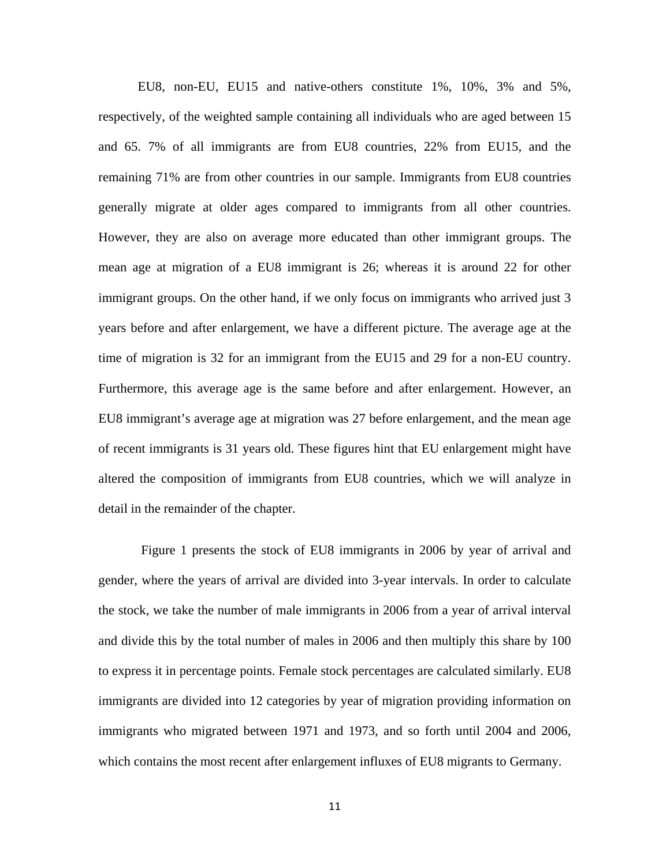EU8, non-EU, EU15 and native-others constitute 1%, 10%, 3% and 5%, respectively, of the weighted sample containing all individuals who are aged between 15 and 65. 7% of all immigrants are from EU8 countries, 22% from EU15, and the remaining 71% are from other countries in our sample. Immigrants from EU8 countries generally migrate at older ages compared to immigrants from all other countries. However, they are also on average more educated than other immigrant groups. The mean age at migration of a EU8 immigrant is 26; whereas it is around 22 for other immigrant groups. On the other hand, if we only focus on immigrants who arrived just 3 years before and after enlargement, we have a different picture. The average age at the time of migration is 32 for an immigrant from the EU15 and 29 for a non-EU country. Furthermore, this average age is the same before and after enlargement. However, an EU8 immigrant's average age at migration was 27 before enlargement, and the mean age of recent immigrants is 31 years old. These figures hint that EU enlargement might have altered the composition of immigrants from EU8 countries, which we will analyze in detail in the remainder of the chapter.

 Figure 1 presents the stock of EU8 immigrants in 2006 by year of arrival and gender, where the years of arrival are divided into 3-year intervals. In order to calculate the stock, we take the number of male immigrants in 2006 from a year of arrival interval and divide this by the total number of males in 2006 and then multiply this share by 100 to express it in percentage points. Female stock percentages are calculated similarly. EU8 immigrants are divided into 12 categories by year of migration providing information on immigrants who migrated between 1971 and 1973, and so forth until 2004 and 2006, which contains the most recent after enlargement influxes of EU8 migrants to Germany.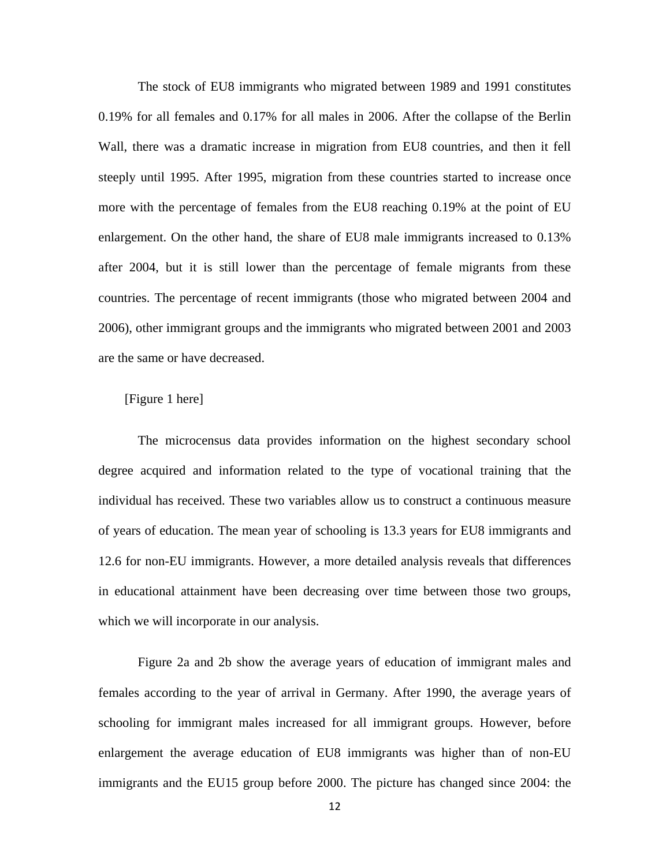The stock of EU8 immigrants who migrated between 1989 and 1991 constitutes 0.19% for all females and 0.17% for all males in 2006. After the collapse of the Berlin Wall, there was a dramatic increase in migration from EU8 countries, and then it fell steeply until 1995. After 1995, migration from these countries started to increase once more with the percentage of females from the EU8 reaching 0.19% at the point of EU enlargement. On the other hand, the share of EU8 male immigrants increased to 0.13% after 2004, but it is still lower than the percentage of female migrants from these countries. The percentage of recent immigrants (those who migrated between 2004 and 2006), other immigrant groups and the immigrants who migrated between 2001 and 2003 are the same or have decreased.

# [Figure 1 here]

The microcensus data provides information on the highest secondary school degree acquired and information related to the type of vocational training that the individual has received. These two variables allow us to construct a continuous measure of years of education. The mean year of schooling is 13.3 years for EU8 immigrants and 12.6 for non-EU immigrants. However, a more detailed analysis reveals that differences in educational attainment have been decreasing over time between those two groups, which we will incorporate in our analysis.

Figure 2a and 2b show the average years of education of immigrant males and females according to the year of arrival in Germany. After 1990, the average years of schooling for immigrant males increased for all immigrant groups. However, before enlargement the average education of EU8 immigrants was higher than of non-EU immigrants and the EU15 group before 2000. The picture has changed since 2004: the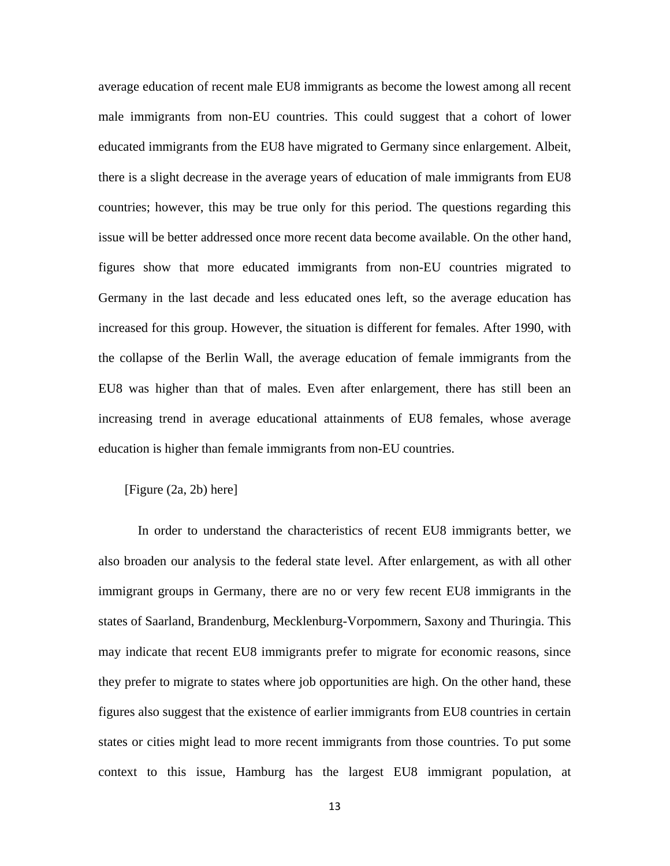average education of recent male EU8 immigrants as become the lowest among all recent male immigrants from non-EU countries. This could suggest that a cohort of lower educated immigrants from the EU8 have migrated to Germany since enlargement. Albeit, there is a slight decrease in the average years of education of male immigrants from EU8 countries; however, this may be true only for this period. The questions regarding this issue will be better addressed once more recent data become available. On the other hand, figures show that more educated immigrants from non-EU countries migrated to Germany in the last decade and less educated ones left, so the average education has increased for this group. However, the situation is different for females. After 1990, with the collapse of the Berlin Wall, the average education of female immigrants from the EU8 was higher than that of males. Even after enlargement, there has still been an increasing trend in average educational attainments of EU8 females, whose average education is higher than female immigrants from non-EU countries.

#### [Figure (2a, 2b) here]

In order to understand the characteristics of recent EU8 immigrants better, we also broaden our analysis to the federal state level. After enlargement, as with all other immigrant groups in Germany, there are no or very few recent EU8 immigrants in the states of Saarland, Brandenburg, Mecklenburg-Vorpommern, Saxony and Thuringia. This may indicate that recent EU8 immigrants prefer to migrate for economic reasons, since they prefer to migrate to states where job opportunities are high. On the other hand, these figures also suggest that the existence of earlier immigrants from EU8 countries in certain states or cities might lead to more recent immigrants from those countries. To put some context to this issue, Hamburg has the largest EU8 immigrant population, at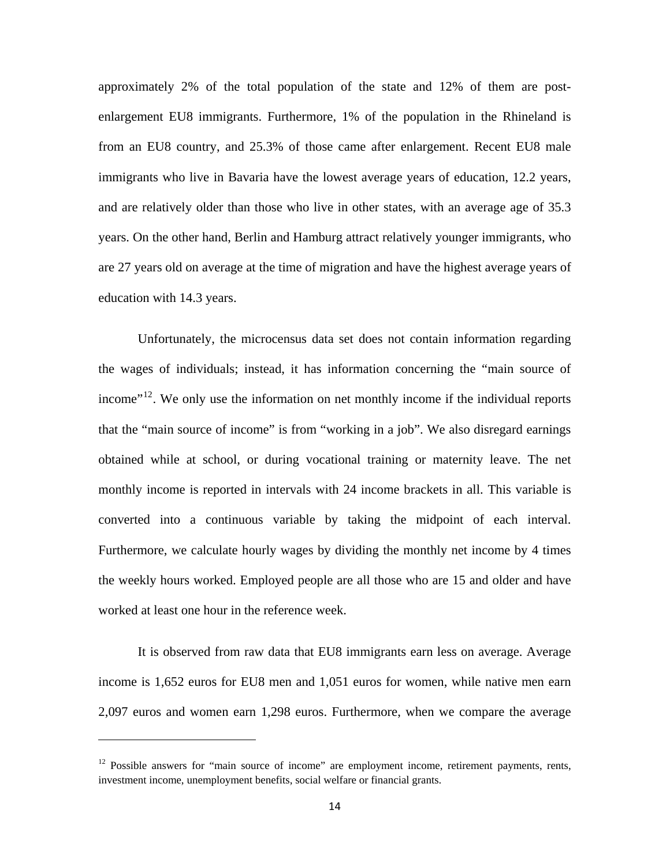approximately 2% of the total population of the state and 12% of them are postenlargement EU8 immigrants. Furthermore, 1% of the population in the Rhineland is from an EU8 country, and 25.3% of those came after enlargement. Recent EU8 male immigrants who live in Bavaria have the lowest average years of education, 12.2 years, and are relatively older than those who live in other states, with an average age of 35.3 years. On the other hand, Berlin and Hamburg attract relatively younger immigrants, who are 27 years old on average at the time of migration and have the highest average years of education with 14.3 years.

Unfortunately, the microcensus data set does not contain information regarding the wages of individuals; instead, it has information concerning the "main source of income"<sup>12</sup>. We only use the information on net monthly income if the individual reports that the "main source of income" is from "working in a job". We also disregard earnings obtained while at school, or during vocational training or maternity leave. The net monthly income is reported in intervals with 24 income brackets in all. This variable is converted into a continuous variable by taking the midpoint of each interval. Furthermore, we calculate hourly wages by dividing the monthly net income by 4 times the weekly hours worked. Employed people are all those who are 15 and older and have worked at least one hour in the reference week.

It is observed from raw data that EU8 immigrants earn less on average. Average income is 1,652 euros for EU8 men and 1,051 euros for women, while native men earn 2,097 euros and women earn 1,298 euros. Furthermore, when we compare the average

 $12$  Possible answers for "main source of income" are employment income, retirement payments, rents, investment income, unemployment benefits, social welfare or financial grants.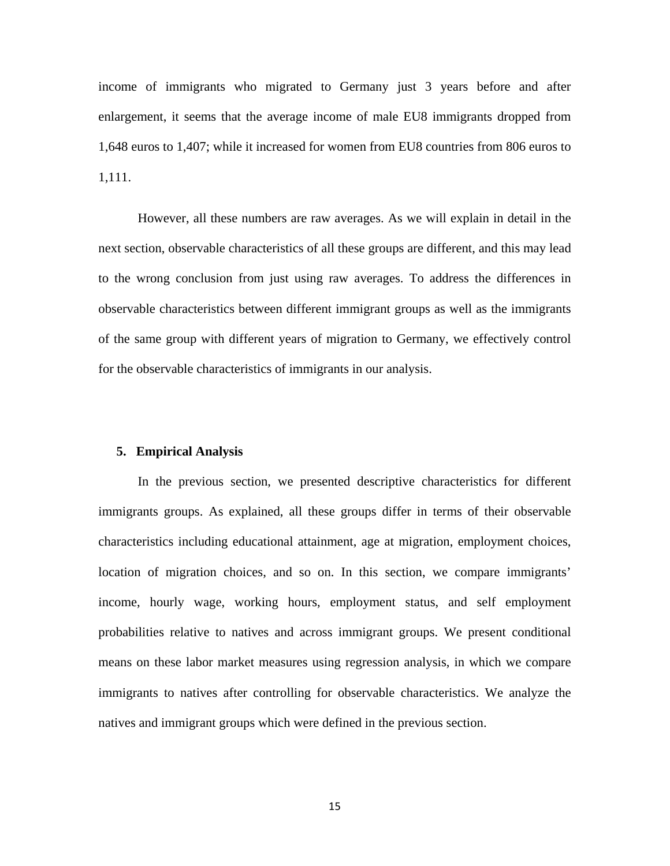income of immigrants who migrated to Germany just 3 years before and after enlargement, it seems that the average income of male EU8 immigrants dropped from 1,648 euros to 1,407; while it increased for women from EU8 countries from 806 euros to 1,111.

However, all these numbers are raw averages. As we will explain in detail in the next section, observable characteristics of all these groups are different, and this may lead to the wrong conclusion from just using raw averages. To address the differences in observable characteristics between different immigrant groups as well as the immigrants of the same group with different years of migration to Germany, we effectively control for the observable characteristics of immigrants in our analysis.

# **5. Empirical Analysis**

In the previous section, we presented descriptive characteristics for different immigrants groups. As explained, all these groups differ in terms of their observable characteristics including educational attainment, age at migration, employment choices, location of migration choices, and so on. In this section, we compare immigrants' income, hourly wage, working hours, employment status, and self employment probabilities relative to natives and across immigrant groups. We present conditional means on these labor market measures using regression analysis, in which we compare immigrants to natives after controlling for observable characteristics. We analyze the natives and immigrant groups which were defined in the previous section.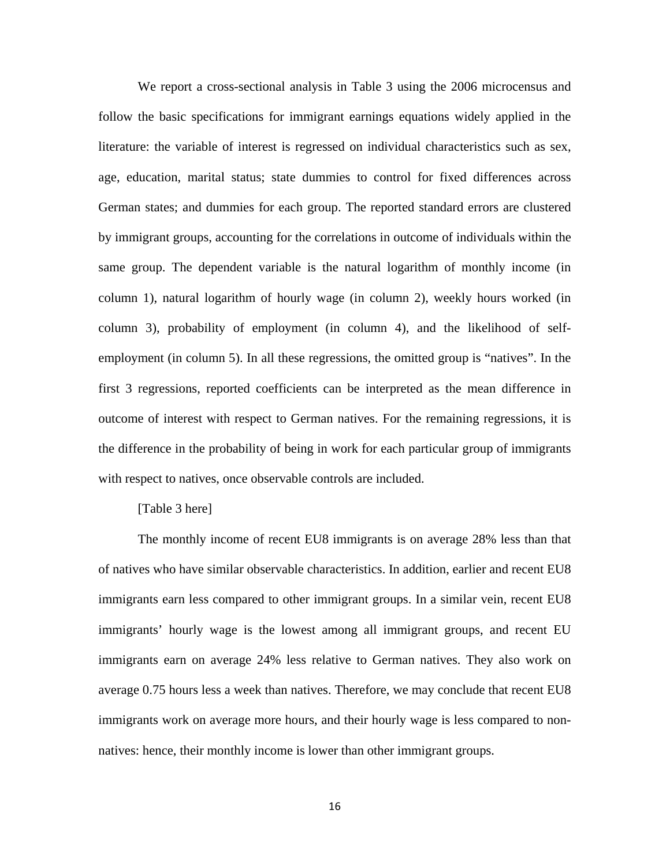We report a cross-sectional analysis in Table 3 using the 2006 microcensus and follow the basic specifications for immigrant earnings equations widely applied in the literature: the variable of interest is regressed on individual characteristics such as sex, age, education, marital status; state dummies to control for fixed differences across German states; and dummies for each group. The reported standard errors are clustered by immigrant groups, accounting for the correlations in outcome of individuals within the same group. The dependent variable is the natural logarithm of monthly income (in column 1), natural logarithm of hourly wage (in column 2), weekly hours worked (in column 3), probability of employment (in column 4), and the likelihood of selfemployment (in column 5). In all these regressions, the omitted group is "natives". In the first 3 regressions, reported coefficients can be interpreted as the mean difference in outcome of interest with respect to German natives. For the remaining regressions, it is the difference in the probability of being in work for each particular group of immigrants with respect to natives, once observable controls are included.

# [Table 3 here]

The monthly income of recent EU8 immigrants is on average 28% less than that of natives who have similar observable characteristics. In addition, earlier and recent EU8 immigrants earn less compared to other immigrant groups. In a similar vein, recent EU8 immigrants' hourly wage is the lowest among all immigrant groups, and recent EU immigrants earn on average 24% less relative to German natives. They also work on average 0.75 hours less a week than natives. Therefore, we may conclude that recent EU8 immigrants work on average more hours, and their hourly wage is less compared to nonnatives: hence, their monthly income is lower than other immigrant groups.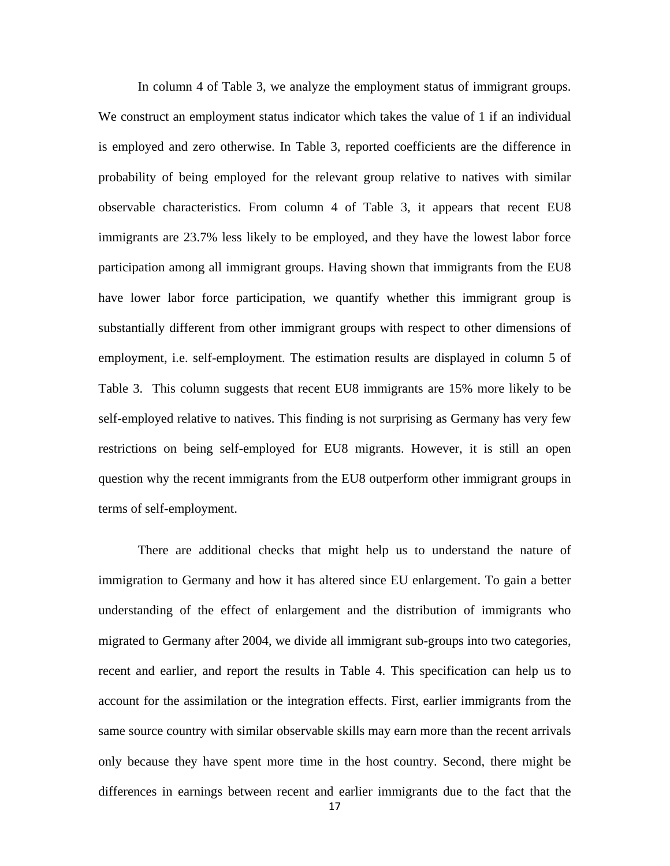In column 4 of Table 3, we analyze the employment status of immigrant groups. We construct an employment status indicator which takes the value of 1 if an individual is employed and zero otherwise. In Table 3, reported coefficients are the difference in probability of being employed for the relevant group relative to natives with similar observable characteristics. From column 4 of Table 3, it appears that recent EU8 immigrants are 23.7% less likely to be employed, and they have the lowest labor force participation among all immigrant groups. Having shown that immigrants from the EU8 have lower labor force participation, we quantify whether this immigrant group is substantially different from other immigrant groups with respect to other dimensions of employment, i.e. self-employment. The estimation results are displayed in column 5 of Table 3. This column suggests that recent EU8 immigrants are 15% more likely to be self-employed relative to natives. This finding is not surprising as Germany has very few restrictions on being self-employed for EU8 migrants. However, it is still an open question why the recent immigrants from the EU8 outperform other immigrant groups in terms of self-employment.

There are additional checks that might help us to understand the nature of immigration to Germany and how it has altered since EU enlargement. To gain a better understanding of the effect of enlargement and the distribution of immigrants who migrated to Germany after 2004, we divide all immigrant sub-groups into two categories, recent and earlier, and report the results in Table 4. This specification can help us to account for the assimilation or the integration effects. First, earlier immigrants from the same source country with similar observable skills may earn more than the recent arrivals only because they have spent more time in the host country. Second, there might be differences in earnings between recent and earlier immigrants due to the fact that the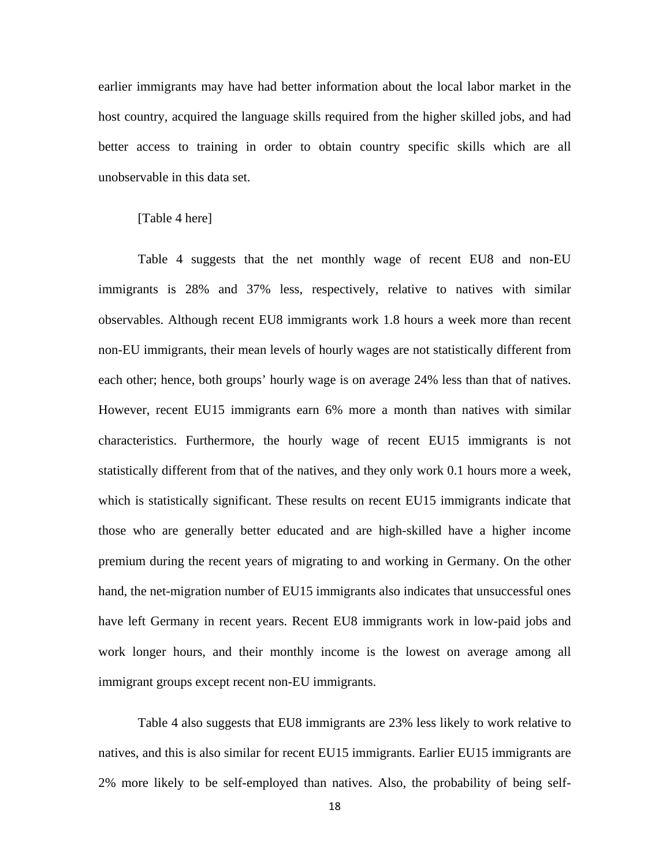earlier immigrants may have had better information about the local labor market in the host country, acquired the language skills required from the higher skilled jobs, and had better access to training in order to obtain country specific skills which are all unobservable in this data set.

#### [Table 4 here]

Table 4 suggests that the net monthly wage of recent EU8 and non-EU immigrants is 28% and 37% less, respectively, relative to natives with similar observables. Although recent EU8 immigrants work 1.8 hours a week more than recent non-EU immigrants, their mean levels of hourly wages are not statistically different from each other; hence, both groups' hourly wage is on average 24% less than that of natives. However, recent EU15 immigrants earn 6% more a month than natives with similar characteristics. Furthermore, the hourly wage of recent EU15 immigrants is not statistically different from that of the natives, and they only work 0.1 hours more a week, which is statistically significant. These results on recent EU15 immigrants indicate that those who are generally better educated and are high-skilled have a higher income premium during the recent years of migrating to and working in Germany. On the other hand, the net-migration number of EU15 immigrants also indicates that unsuccessful ones have left Germany in recent years. Recent EU8 immigrants work in low-paid jobs and work longer hours, and their monthly income is the lowest on average among all immigrant groups except recent non-EU immigrants.

Table 4 also suggests that EU8 immigrants are 23% less likely to work relative to natives, and this is also similar for recent EU15 immigrants. Earlier EU15 immigrants are 2% more likely to be self-employed than natives. Also, the probability of being self-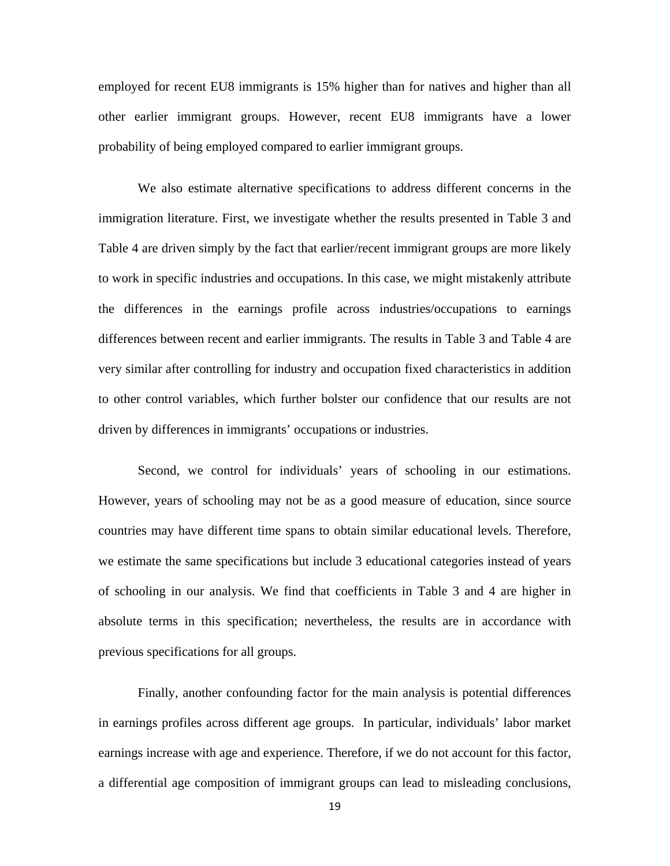employed for recent EU8 immigrants is 15% higher than for natives and higher than all other earlier immigrant groups. However, recent EU8 immigrants have a lower probability of being employed compared to earlier immigrant groups.

We also estimate alternative specifications to address different concerns in the immigration literature. First, we investigate whether the results presented in Table 3 and Table 4 are driven simply by the fact that earlier/recent immigrant groups are more likely to work in specific industries and occupations. In this case, we might mistakenly attribute the differences in the earnings profile across industries/occupations to earnings differences between recent and earlier immigrants. The results in Table 3 and Table 4 are very similar after controlling for industry and occupation fixed characteristics in addition to other control variables, which further bolster our confidence that our results are not driven by differences in immigrants' occupations or industries.

Second, we control for individuals' years of schooling in our estimations. However, years of schooling may not be as a good measure of education, since source countries may have different time spans to obtain similar educational levels. Therefore, we estimate the same specifications but include 3 educational categories instead of years of schooling in our analysis. We find that coefficients in Table 3 and 4 are higher in absolute terms in this specification; nevertheless, the results are in accordance with previous specifications for all groups.

Finally, another confounding factor for the main analysis is potential differences in earnings profiles across different age groups. In particular, individuals' labor market earnings increase with age and experience. Therefore, if we do not account for this factor, a differential age composition of immigrant groups can lead to misleading conclusions,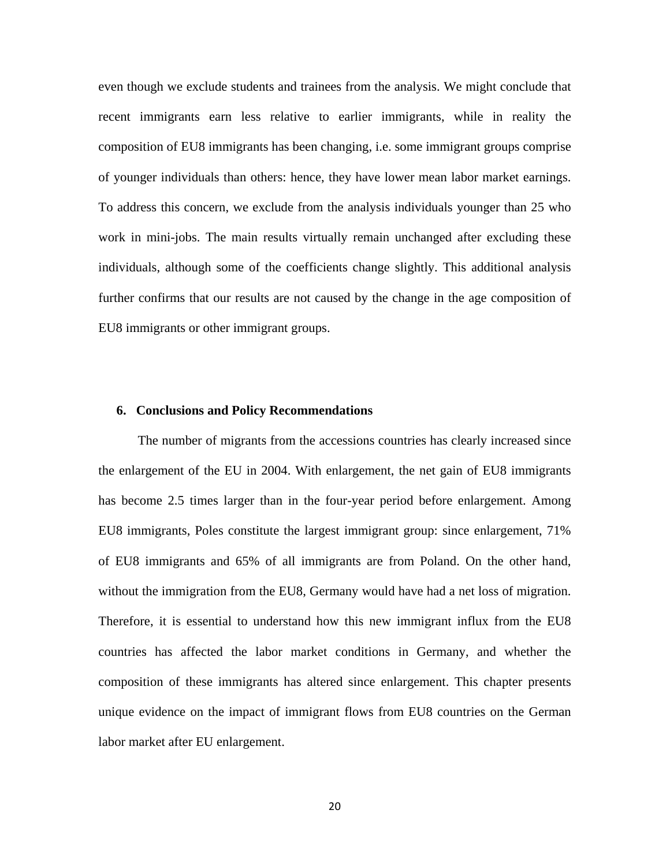even though we exclude students and trainees from the analysis. We might conclude that recent immigrants earn less relative to earlier immigrants, while in reality the composition of EU8 immigrants has been changing, i.e. some immigrant groups comprise of younger individuals than others: hence, they have lower mean labor market earnings. To address this concern, we exclude from the analysis individuals younger than 25 who work in mini-jobs. The main results virtually remain unchanged after excluding these individuals, although some of the coefficients change slightly. This additional analysis further confirms that our results are not caused by the change in the age composition of EU8 immigrants or other immigrant groups.

#### **6. Conclusions and Policy Recommendations**

The number of migrants from the accessions countries has clearly increased since the enlargement of the EU in 2004. With enlargement, the net gain of EU8 immigrants has become 2.5 times larger than in the four-year period before enlargement. Among EU8 immigrants, Poles constitute the largest immigrant group: since enlargement, 71% of EU8 immigrants and 65% of all immigrants are from Poland. On the other hand, without the immigration from the EU8, Germany would have had a net loss of migration. Therefore, it is essential to understand how this new immigrant influx from the EU8 countries has affected the labor market conditions in Germany, and whether the composition of these immigrants has altered since enlargement. This chapter presents unique evidence on the impact of immigrant flows from EU8 countries on the German labor market after EU enlargement.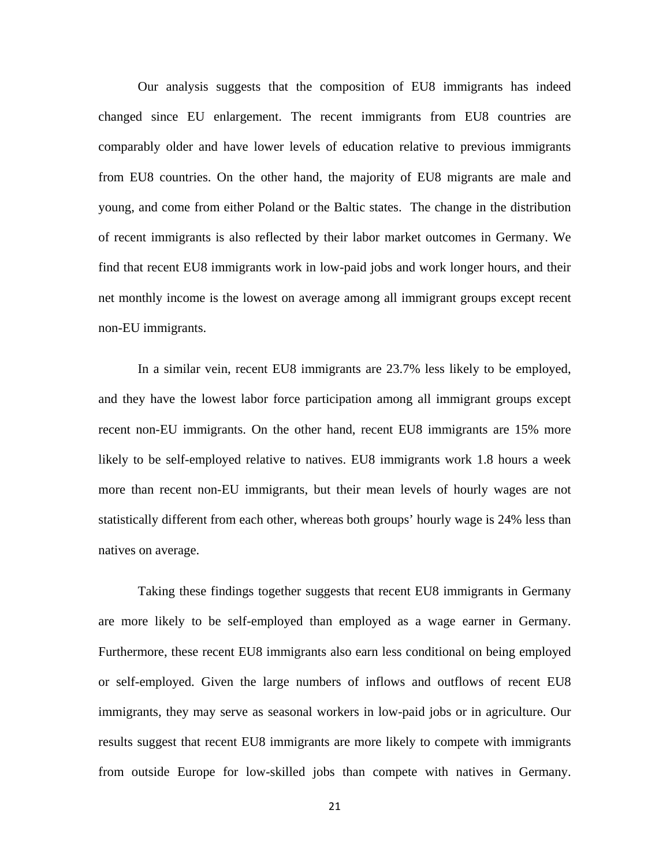Our analysis suggests that the composition of EU8 immigrants has indeed changed since EU enlargement. The recent immigrants from EU8 countries are comparably older and have lower levels of education relative to previous immigrants from EU8 countries. On the other hand, the majority of EU8 migrants are male and young, and come from either Poland or the Baltic states. The change in the distribution of recent immigrants is also reflected by their labor market outcomes in Germany. We find that recent EU8 immigrants work in low-paid jobs and work longer hours, and their net monthly income is the lowest on average among all immigrant groups except recent non-EU immigrants.

In a similar vein, recent EU8 immigrants are 23.7% less likely to be employed, and they have the lowest labor force participation among all immigrant groups except recent non-EU immigrants. On the other hand, recent EU8 immigrants are 15% more likely to be self-employed relative to natives. EU8 immigrants work 1.8 hours a week more than recent non-EU immigrants, but their mean levels of hourly wages are not statistically different from each other, whereas both groups' hourly wage is 24% less than natives on average.

Taking these findings together suggests that recent EU8 immigrants in Germany are more likely to be self-employed than employed as a wage earner in Germany. Furthermore, these recent EU8 immigrants also earn less conditional on being employed or self-employed. Given the large numbers of inflows and outflows of recent EU8 immigrants, they may serve as seasonal workers in low-paid jobs or in agriculture. Our results suggest that recent EU8 immigrants are more likely to compete with immigrants from outside Europe for low-skilled jobs than compete with natives in Germany.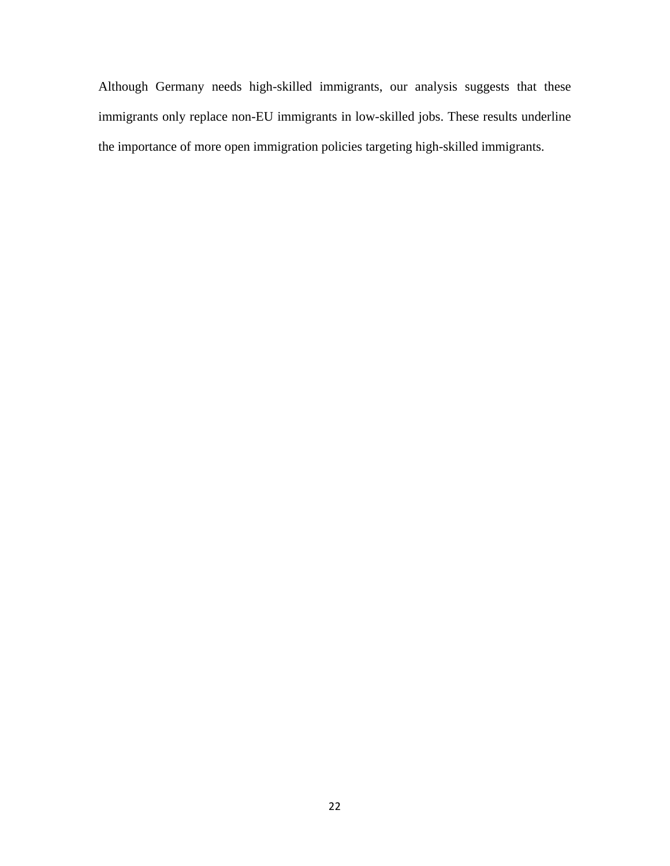Although Germany needs high-skilled immigrants, our analysis suggests that these immigrants only replace non-EU immigrants in low-skilled jobs. These results underline the importance of more open immigration policies targeting high-skilled immigrants.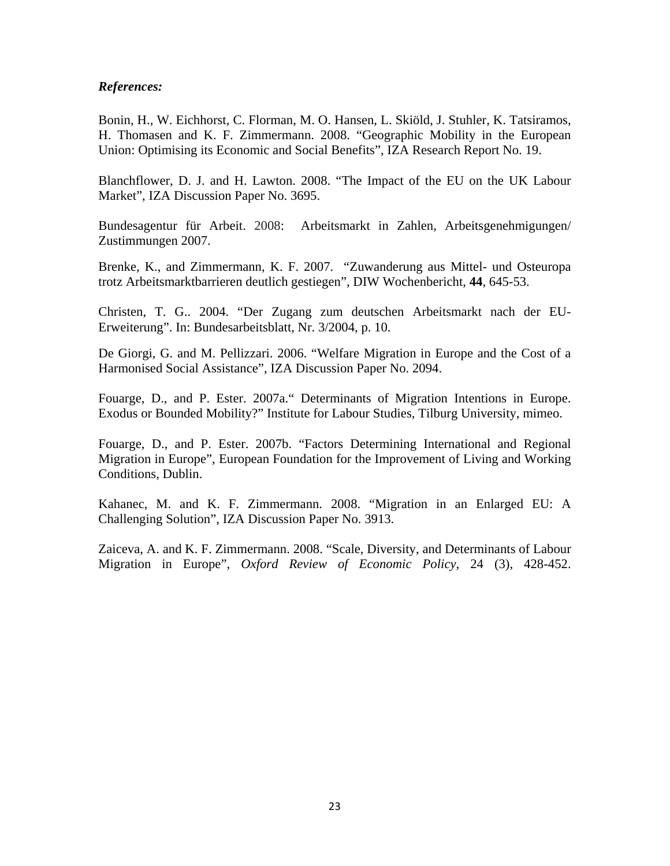# *References:*

Bonin, H., W. Eichhorst, C. Florman, M. O. Hansen, L. Skiöld, J. Stuhler, K. Tatsiramos, H. Thomasen and K. F. Zimmermann. 2008. "Geographic Mobility in the European Union: Optimising its Economic and Social Benefits", IZA Research Report No. 19.

Blanchflower, D. J. and H. Lawton. 2008. "The Impact of the EU on the UK Labour Market", IZA Discussion Paper No. 3695.

Bundesagentur für Arbeit. 2008: Arbeitsmarkt in Zahlen, Arbeitsgenehmigungen/ Zustimmungen 2007.

Brenke, K., and Zimmermann, K. F. 2007. "Zuwanderung aus Mittel- und Osteuropa trotz Arbeitsmarktbarrieren deutlich gestiegen", DIW Wochenbericht, **44**, 645-53.

Christen, T. G.. 2004. "Der Zugang zum deutschen Arbeitsmarkt nach der EU-Erweiterung". In: Bundesarbeitsblatt, Nr. 3/2004, p. 10.

De Giorgi, G. and M. Pellizzari. 2006. "Welfare Migration in Europe and the Cost of a Harmonised Social Assistance", IZA Discussion Paper No. 2094.

Fouarge, D., and P. Ester. 2007a." Determinants of Migration Intentions in Europe. Exodus or Bounded Mobility?" Institute for Labour Studies, Tilburg University, mimeo.

Fouarge, D., and P. Ester. 2007b. "Factors Determining International and Regional Migration in Europe", European Foundation for the Improvement of Living and Working Conditions, Dublin.

Kahanec, M. and K. F. Zimmermann. 2008. "Migration in an Enlarged EU: A Challenging Solution", IZA Discussion Paper No. 3913.

Zaiceva, A. and K. F. Zimmermann. 2008. "Scale, Diversity, and Determinants of Labour Migration in Europe", *Oxford Review of Economic Policy*, 24 (3), 428-452.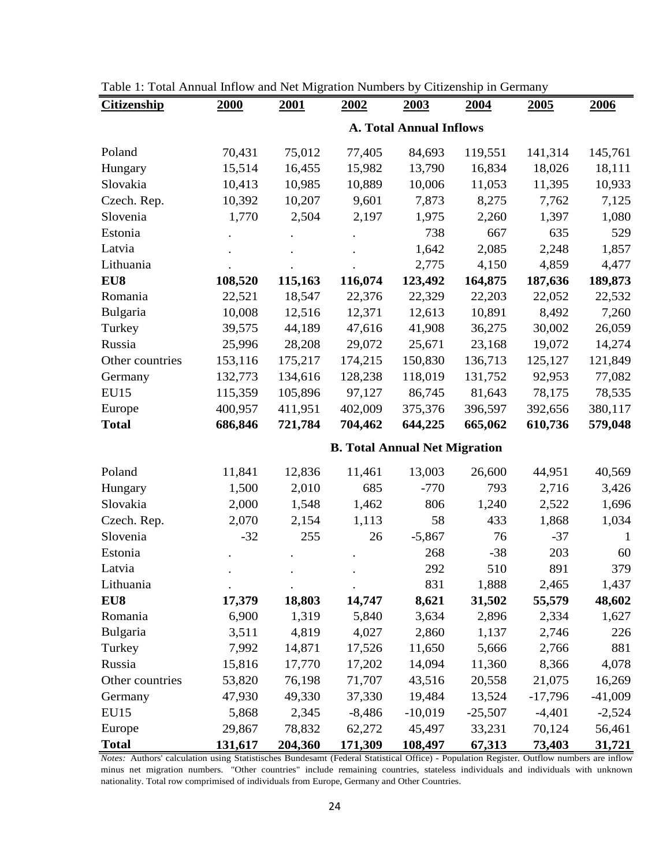| <b>Citizenship</b> | <u>tom rumaar mnow and rice migration rumocho of</u><br><b>2000</b> | <b>2001</b> | <u>2002</u>                          | <u>2003</u> | $\alpha$<br><u>2004</u> | <u>2005</u> | 2006      |  |  |  |  |
|--------------------|---------------------------------------------------------------------|-------------|--------------------------------------|-------------|-------------------------|-------------|-----------|--|--|--|--|
|                    | <b>A. Total Annual Inflows</b>                                      |             |                                      |             |                         |             |           |  |  |  |  |
|                    |                                                                     |             |                                      |             |                         |             |           |  |  |  |  |
| Poland             | 70,431                                                              | 75,012      | 77,405                               | 84,693      | 119,551                 | 141,314     | 145,761   |  |  |  |  |
| Hungary            | 15,514                                                              | 16,455      | 15,982                               | 13,790      | 16,834                  | 18,026      | 18,111    |  |  |  |  |
| Slovakia           | 10,413                                                              | 10,985      | 10,889                               | 10,006      | 11,053                  | 11,395      | 10,933    |  |  |  |  |
| Czech. Rep.        | 10,392                                                              | 10,207      | 9,601                                | 7,873       | 8,275                   | 7,762       | 7,125     |  |  |  |  |
| Slovenia           | 1,770                                                               | 2,504       | 2,197                                | 1,975       | 2,260                   | 1,397       | 1,080     |  |  |  |  |
| Estonia            |                                                                     |             |                                      | 738         | 667                     | 635         | 529       |  |  |  |  |
| Latvia             |                                                                     |             |                                      | 1,642       | 2,085                   | 2,248       | 1,857     |  |  |  |  |
| Lithuania          |                                                                     |             |                                      | 2,775       | 4,150                   | 4,859       | 4,477     |  |  |  |  |
| EU8                | 108,520                                                             | 115,163     | 116,074                              | 123,492     | 164,875                 | 187,636     | 189,873   |  |  |  |  |
| Romania            | 22,521                                                              | 18,547      | 22,376                               | 22,329      | 22,203                  | 22,052      | 22,532    |  |  |  |  |
| Bulgaria           | 10,008                                                              | 12,516      | 12,371                               | 12,613      | 10,891                  | 8,492       | 7,260     |  |  |  |  |
| Turkey             | 39,575                                                              | 44,189      | 47,616                               | 41,908      | 36,275                  | 30,002      | 26,059    |  |  |  |  |
| Russia             | 25,996                                                              | 28,208      | 29,072                               | 25,671      | 23,168                  | 19,072      | 14,274    |  |  |  |  |
| Other countries    | 153,116                                                             | 175,217     | 174,215                              | 150,830     | 136,713                 | 125,127     | 121,849   |  |  |  |  |
| Germany            | 132,773                                                             | 134,616     | 128,238                              | 118,019     | 131,752                 | 92,953      | 77,082    |  |  |  |  |
| <b>EU15</b>        | 115,359                                                             | 105,896     | 97,127                               | 86,745      | 81,643                  | 78,175      | 78,535    |  |  |  |  |
| Europe             | 400,957                                                             | 411,951     | 402,009                              | 375,376     | 396,597                 | 392,656     | 380,117   |  |  |  |  |
| <b>Total</b>       | 686,846                                                             | 721,784     | 704,462                              | 644,225     | 665,062                 | 610,736     | 579,048   |  |  |  |  |
|                    |                                                                     |             | <b>B. Total Annual Net Migration</b> |             |                         |             |           |  |  |  |  |
| Poland             | 11,841                                                              | 12,836      | 11,461                               | 13,003      | 26,600                  | 44,951      | 40,569    |  |  |  |  |
| Hungary            | 1,500                                                               | 2,010       | 685                                  | $-770$      | 793                     | 2,716       | 3,426     |  |  |  |  |
| Slovakia           | 2,000                                                               | 1,548       | 1,462                                | 806         | 1,240                   | 2,522       | 1,696     |  |  |  |  |
| Czech. Rep.        | 2,070                                                               | 2,154       | 1,113                                | 58          | 433                     | 1,868       | 1,034     |  |  |  |  |
| Slovenia           | $-32$                                                               | 255         | 26                                   | $-5,867$    | 76                      | $-37$       | 1         |  |  |  |  |
| Estonia            |                                                                     |             |                                      | 268         | $-38$                   | 203         | 60        |  |  |  |  |
| Latvia             |                                                                     |             |                                      | 292         | 510                     | 891         | 379       |  |  |  |  |
| Lithuania          |                                                                     |             |                                      | 831         | 1,888                   | 2,465       | 1,437     |  |  |  |  |
| EU8                | 17,379                                                              | 18,803      | 14,747                               | 8,621       | 31,502                  | 55,579      | 48,602    |  |  |  |  |
| Romania            | 6,900                                                               | 1,319       | 5,840                                | 3,634       | 2,896                   | 2,334       | 1,627     |  |  |  |  |
| Bulgaria           | 3,511                                                               | 4,819       | 4,027                                | 2,860       | 1,137                   | 2,746       | 226       |  |  |  |  |
| Turkey             |                                                                     |             |                                      | 11,650      | 5,666                   |             | 881       |  |  |  |  |
|                    | 7,992<br>15,816                                                     | 14,871      | 17,526                               |             |                         | 2,766       |           |  |  |  |  |
| Russia             |                                                                     | 17,770      | 17,202                               | 14,094      | 11,360                  | 8,366       | 4,078     |  |  |  |  |
| Other countries    | 53,820                                                              | 76,198      | 71,707                               | 43,516      | 20,558                  | 21,075      | 16,269    |  |  |  |  |
| Germany            | 47,930                                                              | 49,330      | 37,330                               | 19,484      | 13,524                  | $-17,796$   | $-41,009$ |  |  |  |  |
| <b>EU15</b>        | 5,868                                                               | 2,345       | $-8,486$                             | $-10,019$   | $-25,507$               | $-4,401$    | $-2,524$  |  |  |  |  |
| Europe             | 29,867                                                              | 78,832      | 62,272                               | 45,497      | 33,231                  | 70,124      | 56,461    |  |  |  |  |
| <b>Total</b>       | 131,617                                                             | 204,360     | 171,309                              | 108,497     | 67,313                  | 73,403      | 31,721    |  |  |  |  |

| Table 1: Total Annual Inflow and Net Migration Numbers by Citizenship in Germany |  |  |  |
|----------------------------------------------------------------------------------|--|--|--|
|                                                                                  |  |  |  |

*Notes:* Authors' calculation using Statistisches Bundesamt (Federal Statistical Office) - Population Register. Outflow numbers are inflow minus net migration numbers. "Other countries" include remaining countries, stateless individuals and individuals with unknown nationality. Total row comprimised of individuals from Europe, Germany and Other Countries.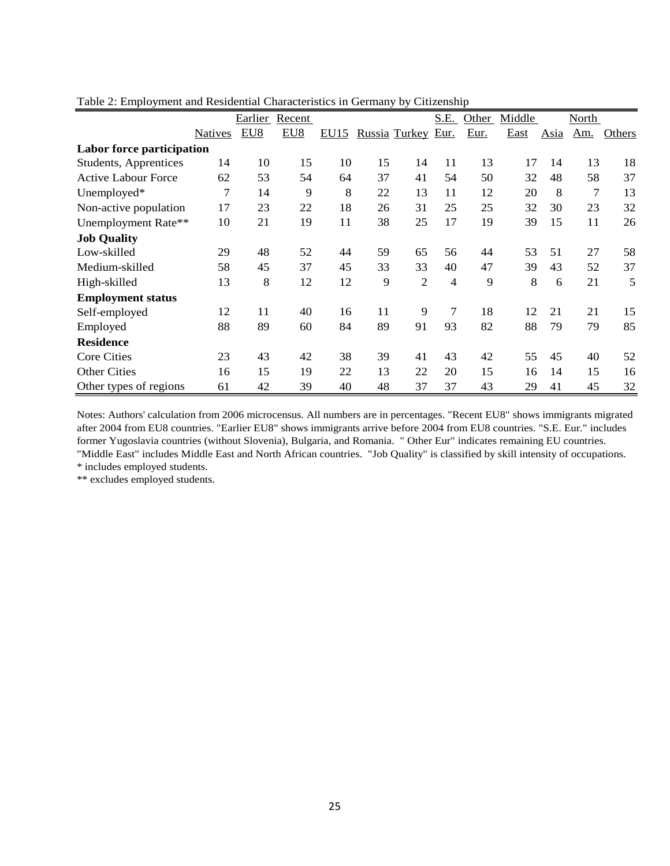|                            |         | Earlier | Recent          |      |    |                      | S.E.           | Other | Middle |             | North      |               |
|----------------------------|---------|---------|-----------------|------|----|----------------------|----------------|-------|--------|-------------|------------|---------------|
|                            | Natives | EU8     | EU <sub>8</sub> | EU15 |    | <b>Russia Turkey</b> | Eur.           | Eur.  | East   | <b>Asia</b> | <u>Am.</u> | <b>Others</b> |
| Labor force participation  |         |         |                 |      |    |                      |                |       |        |             |            |               |
| Students, Apprentices      | 14      | 10      | 15              | 10   | 15 | 14                   | 11             | 13    | 17     | 14          | 13         | 18            |
| <b>Active Labour Force</b> | 62      | 53      | 54              | 64   | 37 | 41                   | 54             | 50    | 32     | 48          | 58         | 37            |
| Unemployed*                | 7       | 14      | 9               | 8    | 22 | 13                   | 11             | 12    | 20     | 8           | 7          | 13            |
| Non-active population      | 17      | 23      | 22              | 18   | 26 | 31                   | 25             | 25    | 32     | 30          | 23         | 32            |
| Unemployment Rate**        | 10      | 21      | 19              | 11   | 38 | 25                   | 17             | 19    | 39     | 15          | 11         | 26            |
| <b>Job Quality</b>         |         |         |                 |      |    |                      |                |       |        |             |            |               |
| Low-skilled                | 29      | 48      | 52              | 44   | 59 | 65                   | 56             | 44    | 53     | 51          | 27         | 58            |
| Medium-skilled             | 58      | 45      | 37              | 45   | 33 | 33                   | 40             | 47    | 39     | 43          | 52         | 37            |
| High-skilled               | 13      | 8       | 12              | 12   | 9  | $\overline{2}$       | $\overline{4}$ | 9     | 8      | 6           | 21         | 5             |
| <b>Employment status</b>   |         |         |                 |      |    |                      |                |       |        |             |            |               |
| Self-employed              | 12      | 11      | 40              | 16   | 11 | 9                    | 7              | 18    | 12     | 21          | 21         | 15            |
| Employed                   | 88      | 89      | 60              | 84   | 89 | 91                   | 93             | 82    | 88     | 79          | 79         | 85            |
| <b>Residence</b>           |         |         |                 |      |    |                      |                |       |        |             |            |               |
| <b>Core Cities</b>         | 23      | 43      | 42              | 38   | 39 | 41                   | 43             | 42    | 55     | 45          | 40         | 52            |
| <b>Other Cities</b>        | 16      | 15      | 19              | 22   | 13 | 22                   | 20             | 15    | 16     | 14          | 15         | 16            |
| Other types of regions     | 61      | 42      | 39              | 40   | 48 | 37                   | 37             | 43    | 29     | 41          | 45         | 32            |

Tabl e 2: Employment and Residential Characteristics in Germany by Citizenship

Notes : Authors' calculation from 2006 microcensus. All numbers are in percentages. "Recent EU8" shows immigrants migrated afte r 2004 from EU8 countries. "Earlier EU8" shows immigrants arrive before 2004 from EU8 countries. "S.E. Eur." includes form er Yugoslavia countries (without Slovenia), Bulgaria, and Romania. " Other Eur" indicates remaining EU countries. "M iddle East" includes Middle East and North African countries. "Job Quality" is classified by skill intensity of occupations.

\* in cludes employed students.

\*\* ex cludes employed students.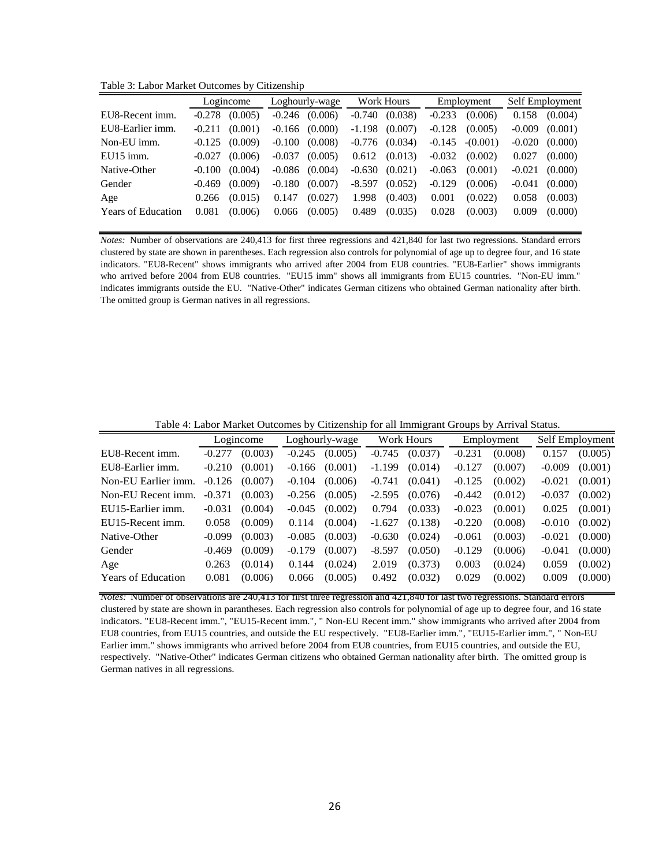Table 3: Labor Market Outcomes by Citizenship

|                           | Logincome |         | Loghourly-wage |         | Work Hours |         | Employment |            | Self Employment |         |
|---------------------------|-----------|---------|----------------|---------|------------|---------|------------|------------|-----------------|---------|
| EU8-Recent imm.           | $-0.278$  | (0.005) | $-0.246$       | (0.006) | $-0.740$   | (0.038) | $-0.233$   | (0.006)    | 0.158           | (0.004) |
| EU8-Earlier imm.          | $-0.211$  | (0.001) | $-0.166$       | (0.000) | $-1.198$   | (0.007) | $-0.128$   | (0.005)    | $-0.009$        | (0.001) |
| Non-EU imm.               | $-0.125$  | (0.009) | $-0.100$       | (0.008) | $-0.776$   | (0.034) | $-0.145$   | $-(0.001)$ | $-0.020$        | (0.000) |
| EU15 imm.                 | $-0.027$  | (0.006) | $-0.037$       | (0.005) | 0.612      | (0.013) | $-0.032$   | (0.002)    | 0.027           | (0.000) |
| Native-Other              | $-0.100$  | (0.004) | -0.086         | (0.004) | $-0.630$   | (0.021) | $-0.063$   | (0.001)    | $-0.021$        | (0.000) |
| Gender                    | $-0.469$  | (0.009) | $-0.180$       | (0.007) | $-8.597$   | (0.052) | $-0.129$   | (0.006)    | $-0.041$        | (0.000) |
| Age                       | 0.266     | (0.015) | 0.147          | (0.027) | 1.998      | (0.403) | 0.001      | (0.022)    | 0.058           | (0.003) |
| <b>Years of Education</b> | 0.081     | (0.006) | 0.066          | (0.005) | 0.489      | (0.035) | 0.028      | (0.003)    | 0.009           | (0.000) |

*Notes:* Number of observations are 240,413 for first three regressions and 421,840 for last two regressions. Standard errors clustered by state are shown in parentheses. Each regression also controls for polynomial of age up to degree four, and 16 state indicators. "EU8-Recent" shows immigrants who arrived after 2004 from EU8 countries. "EU8-Earlier" shows immigrants who arrived before 2004 from EU8 countries. "EU15 imm" shows all immigrants from EU15 countries. "Non-EU imm." indicates immigrants outside the EU. "Native-Other" indicates German citizens who obtained German nationality after birth. The omitted group is German natives in all regressions.

Table 4: Labor Market Outcomes by Citizenship for all Immigrant Groups by Arrival Status.

|                           |          | Logincome | Loghourly-wage |         | Work Hours |         |          | Employment | Self Employment |         |
|---------------------------|----------|-----------|----------------|---------|------------|---------|----------|------------|-----------------|---------|
| EU8-Recent imm.           | $-0.277$ | (0.003)   | $-0.245$       | (0.005) | $-0.745$   | (0.037) | $-0.231$ | (0.008)    | 0.157           | (0.005) |
| EU8-Earlier imm.          | $-0.210$ | (0.001)   | $-0.166$       | (0.001) | $-1.199$   | (0.014) | $-0.127$ | (0.007)    | $-0.009$        | (0.001) |
| Non-EU Earlier imm.       | $-0.126$ | (0.007)   | $-0.104$       | (0.006) | $-0.741$   | (0.041) | $-0.125$ | (0.002)    | $-0.021$        | (0.001) |
| Non-EU Recent imm.        | $-0.371$ | (0.003)   | $-0.256$       | (0.005) | $-2.595$   | (0.076) | $-0.442$ | (0.012)    | $-0.037$        | (0.002) |
| EU15-Earlier imm.         | $-0.031$ | (0.004)   | $-0.045$       | (0.002) | 0.794      | (0.033) | $-0.023$ | (0.001)    | 0.025           | (0.001) |
| EU15-Recent imm.          | 0.058    | (0.009)   | 0.114          | (0.004) | $-1.627$   | (0.138) | $-0.220$ | (0.008)    | $-0.010$        | (0.002) |
| Native-Other              | $-0.099$ | (0.003)   | $-0.085$       | (0.003) | $-0.630$   | (0.024) | $-0.061$ | (0.003)    | $-0.021$        | (0.000) |
| Gender                    | $-0.469$ | (0.009)   | $-0.179$       | (0.007) | $-8.597$   | (0.050) | $-0.129$ | (0.006)    | $-0.041$        | (0.000) |
| Age                       | 0.263    | (0.014)   | 0.144          | (0.024) | 2.019      | (0.373) | 0.003    | (0.024)    | 0.059           | (0.002) |
| <b>Years of Education</b> | 0.081    | (0.006)   | 0.066          | (0.005) | 0.492      | (0.032) | 0.029    | (0.002)    | 0.009           | (0.000) |
|                           |          |           |                |         |            |         |          |            |                 |         |

*Notes:* Number of observations are 240,413 for first three regression and 421,840 for last two regressions. Standard errors clustered by state are shown in parantheses. Each regression also controls for polynomial of age up to degree four, and 16 state indicators. "EU8-Recent imm.", "EU15-Recent imm.", " Non-EU Recent imm." show immigrants who arrived after 2004 from EU8 countries, from EU15 countries, and outside the EU respectively. "EU8-Earlier imm.", "EU15-Earlier imm.", " Non-EU Earlier imm." shows immigrants who arrived before 2004 from EU8 countries, from EU15 countries, and outside the EU, respectively. "Native-Other" indicates German citizens who obtained German nationality after birth. The omitted group is German natives in all regressions.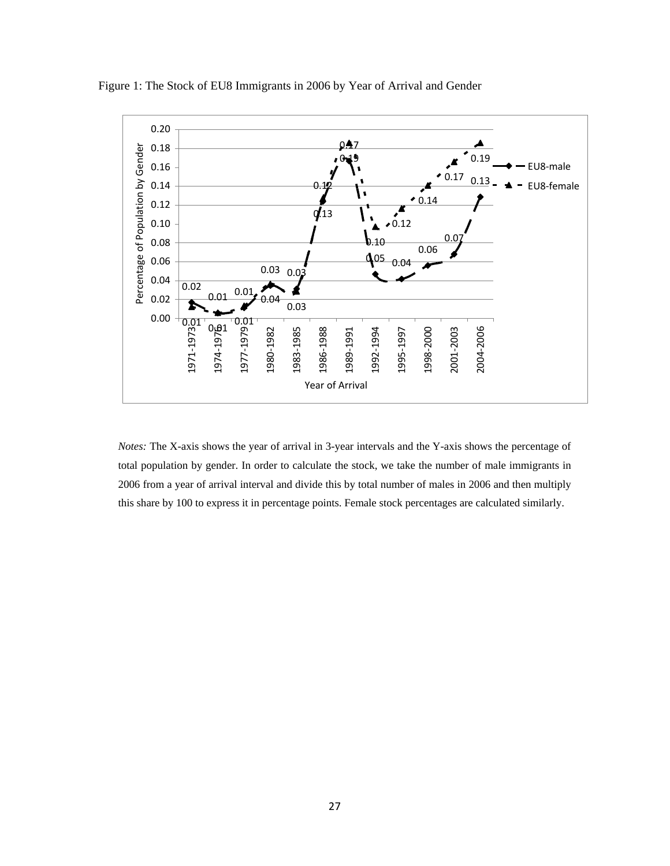

Figure 1: The Stock of EU8 Immigrants in 2006 by Year of Arrival and Gender

*Notes:* The X-axis shows the year of arrival in 3-year intervals and the Y-axis shows the percentage of total population by gender. In order to calculate the stock, we take the number of male immigrants in 2006 from a year of arrival interval and divide this by total number of males in 2006 and then multiply this share by 100 to express it in percentage points. Female stock percentages are calculated similarly.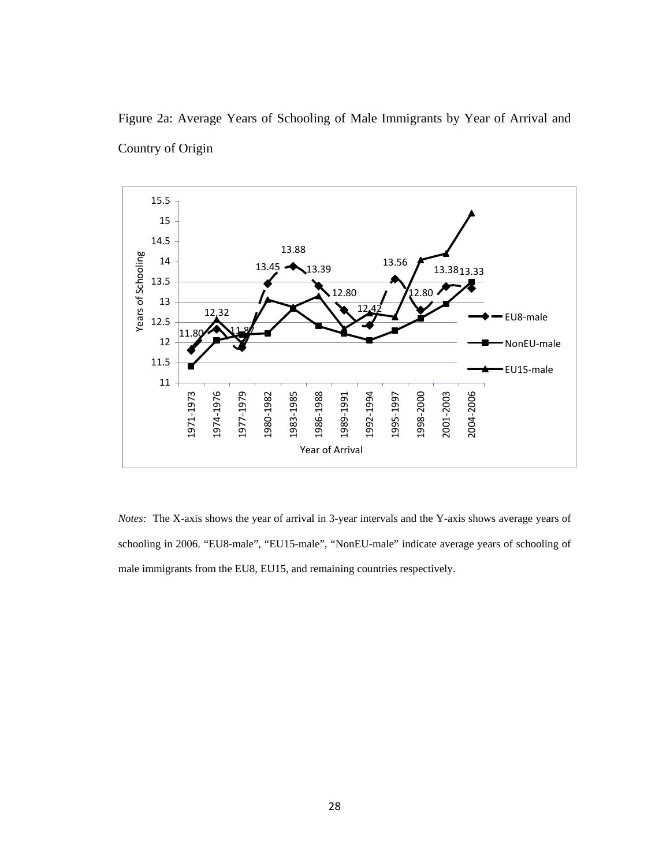

Figure 2a: Average Years of Schooling of Male Immigrants by Year of Arrival and Country of Origin

*Notes:* The X-axis shows the year of arrival in 3-year intervals and the Y-axis shows average years of schooling in 2006. "EU8-male", "EU15-male", "NonEU-male" indicate average years of schooling of male immigrants from the EU8, EU15, and remaining countries respectively.